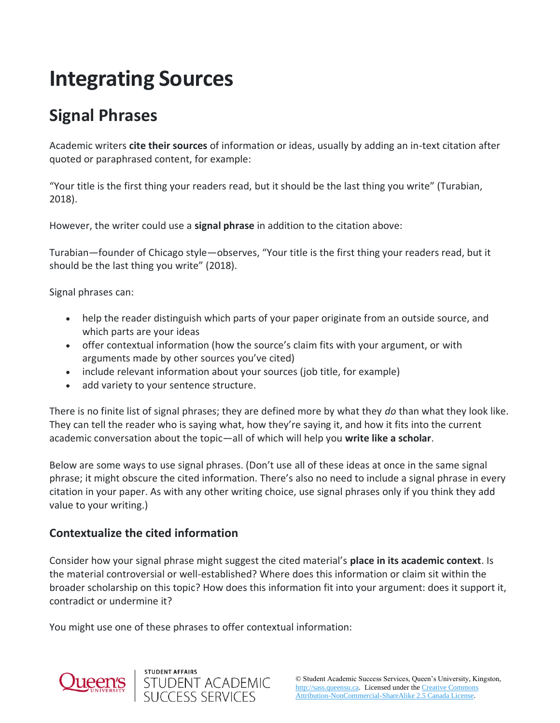# **Integrating Sources**

## **Signal Phrases**

Academic writers **cite their sources** of information or ideas, usually by adding an in-text citation after quoted or paraphrased content, for example:

"Your title is the first thing your readers read, but it should be the last thing you write" (Turabian, 2018).

However, the writer could use a **signal phrase** in addition to the citation above:

Turabian—founder of Chicago style—observes, "Your title is the first thing your readers read, but it should be the last thing you write" (2018).

Signal phrases can:

- help the reader distinguish which parts of your paper originate from an outside source, and which parts are your ideas
- offer contextual information (how the source's claim fits with your argument, or with arguments made by other sources you've cited)
- include relevant information about your sources (job title, for example)
- add variety to your sentence structure.

There is no finite list of signal phrases; they are defined more by what they *do* than what they look like. They can tell the reader who is saying what, how they're saying it, and how it fits into the current academic conversation about the topic—all of which will help you **write like a scholar**.

Below are some ways to use signal phrases. (Don't use all of these ideas at once in the same signal phrase; it might obscure the cited information. There's also no need to include a signal phrase in every citation in your paper. As with any other writing choice, use signal phrases only if you think they add value to your writing.)

#### **Contextualize the cited information**

Consider how your signal phrase might suggest the cited material's **place in its academic context**. Is the material controversial or well-established? Where does this information or claim sit within the broader scholarship on this topic? How does this information fit into your argument: does it support it, contradict or undermine it?

You might use one of these phrases to offer contextual information:

STUDENT ACADEMIC<br>SUCCESS SERVICES

STUDENT AFFAIRS



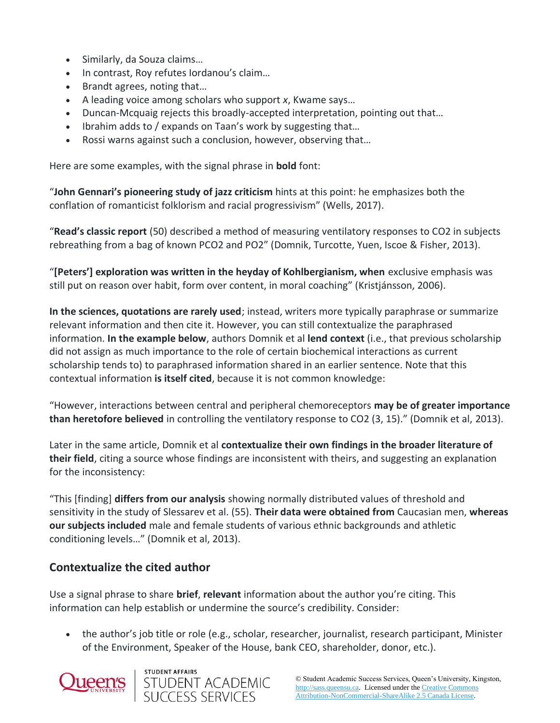- Similarly, da Souza claims…
- In contrast, Roy refutes Iordanou's claim...
- Brandt agrees, noting that…
- A leading voice among scholars who support *x*, Kwame says…
- Duncan-Mcquaig rejects this broadly-accepted interpretation, pointing out that…
- Ibrahim adds to / expands on Taan's work by suggesting that...
- Rossi warns against such a conclusion, however, observing that…

Here are some examples, with the signal phrase in **bold** font:

"**John Gennari's pioneering study of jazz criticism** hints at this point: he emphasizes both the conflation of romanticist folklorism and racial progressivism" (Wells, 2017).

"**Read's classic report** (50) described a method of measuring ventilatory responses to CO2 in subjects rebreathing from a bag of known PCO2 and PO2" (Domnik, Turcotte, Yuen, Iscoe & Fisher, 2013).

"**[Peters'] exploration was written in the heyday of Kohlbergianism, when** exclusive emphasis was still put on reason over habit, form over content, in moral coaching" (Kristjánsson, 2006).

**In the sciences, quotations are rarely used**; instead, writers more typically paraphrase or summarize relevant information and then cite it. However, you can still contextualize the paraphrased information. **In the example below**, authors Domnik et al **lend context** (i.e., that previous scholarship did not assign as much importance to the role of certain biochemical interactions as current scholarship tends to) to paraphrased information shared in an earlier sentence. Note that this contextual information **is itself cited**, because it is not common knowledge:

"However, interactions between central and peripheral chemoreceptors **may be of greater importance than heretofore believed** in controlling the ventilatory response to CO2 (3, 15)." (Domnik et al, 2013).

Later in the same article, Domnik et al **contextualize their own findings in the broader literature of their field**, citing a source whose findings are inconsistent with theirs, and suggesting an explanation for the inconsistency:

"This [finding] **differs from our analysis** showing normally distributed values of threshold and sensitivity in the study of Slessarev et al. (55). **Their data were obtained from** Caucasian men, **whereas our subjects included** male and female students of various ethnic backgrounds and athletic conditioning levels…" (Domnik et al, 2013).

#### **Contextualize the cited author**

Use a signal phrase to share **brief**, **relevant** information about the author you're citing. This information can help establish or undermine the source's credibility. Consider:

• the author's job title or role (e.g., scholar, researcher, journalist, research participant, Minister of the Environment, Speaker of the House, bank CEO, shareholder, donor, etc.).



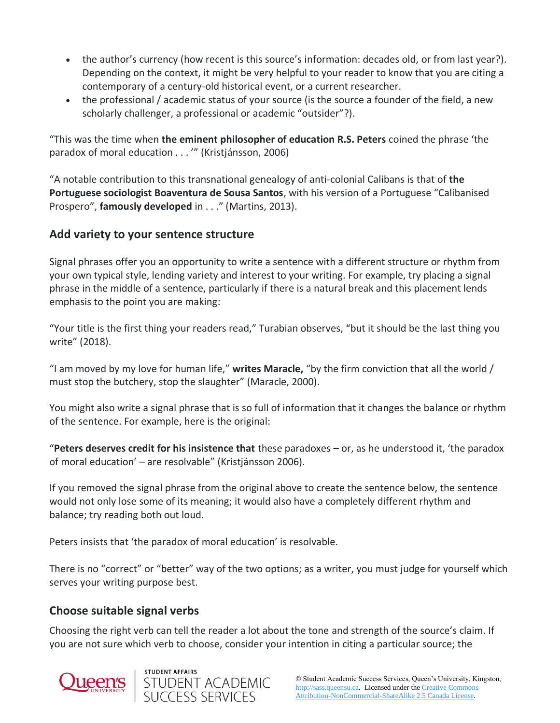- the author's currency (how recent is this source's information: decades old, or from last year?). Depending on the context, it might be very helpful to your reader to know that you are citing a contemporary of a century-old historical event, or a current researcher.
- the professional / academic status of your source (is the source a founder of the field, a new scholarly challenger, a professional or academic "outsider"?).

"This was the time when **the eminent philosopher of education R.S. Peters** coined the phrase 'the paradox of moral education . . . '" (Kristjánsson, 2006)

"A notable contribution to this transnational genealogy of anti-colonial Calibans is that of **the Portuguese sociologist Boaventura de Sousa Santos**, with his version of a Portuguese "Calibanised Prospero", **famously developed** in . . ." (Martins, 2013).

#### **Add variety to your sentence structure**

Signal phrases offer you an opportunity to write a sentence with a different structure or rhythm from your own typical style, lending variety and interest to your writing. For example, try placing a signal phrase in the middle of a sentence, particularly if there is a natural break and this placement lends emphasis to the point you are making:

"Your title is the first thing your readers read," Turabian observes, "but it should be the last thing you write" (2018).

"I am moved by my love for human life," **writes Maracle,** "by the firm conviction that all the world / must stop the butchery, stop the slaughter" (Maracle, 2000).

You might also write a signal phrase that is so full of information that it changes the balance or rhythm of the sentence. For example, here is the original:

"**Peters deserves credit for his insistence that** these paradoxes – or, as he understood it, 'the paradox of moral education' – are resolvable" (Kristjánsson 2006).

If you removed the signal phrase from the original above to create the sentence below, the sentence would not only lose some of its meaning; it would also have a completely different rhythm and balance; try reading both out loud.

Peters insists that 'the paradox of moral education' is resolvable.

There is no "correct" or "better" way of the two options; as a writer, you must judge for yourself which serves your writing purpose best.

#### **Choose suitable signal verbs**

Choosing the right verb can tell the reader a lot about the tone and strength of the source's claim. If you are not sure which verb to choose, consider your intention in citing a particular source; the



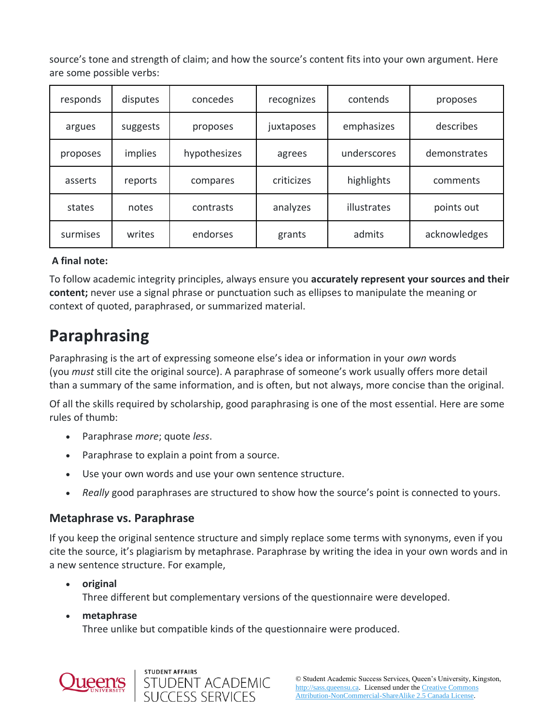source's tone and strength of claim; and how the source's content fits into your own argument. Here are some possible verbs:

| responds | disputes | concedes     | recognizes | contends    | proposes     |
|----------|----------|--------------|------------|-------------|--------------|
| argues   | suggests | proposes     | juxtaposes | emphasizes  | describes    |
| proposes | implies  | hypothesizes | agrees     | underscores | demonstrates |
| asserts  | reports  | compares     | criticizes | highlights  | comments     |
| states   | notes    | contrasts    | analyzes   | illustrates | points out   |
| surmises | writes   | endorses     | grants     | admits      | acknowledges |

#### **A final note:**

To follow academic integrity principles, always ensure you **accurately represent your sources and their content;** never use a signal phrase or punctuation such as ellipses to manipulate the meaning or context of quoted, paraphrased, or summarized material.

### **Paraphrasing**

Paraphrasing is the art of expressing someone else's idea or information in your *own* words (you *must* still cite the original source). A paraphrase of someone's work usually offers more detail than a summary of the same information, and is often, but not always, more concise than the original.

Of all the skills required by scholarship, good paraphrasing is one of the most essential. Here are some rules of thumb:

- Paraphrase *more*; quote *less*.
- Paraphrase to explain a point from a source.

STUDENT AFFAIRS

- Use your own words and use your own sentence structure.
- *Really* good paraphrases are structured to show how the source's point is connected to yours.

#### **Metaphrase vs. Paraphrase**

If you keep the original sentence structure and simply replace some terms with synonyms, even if you cite the source, it's plagiarism by metaphrase. Paraphrase by writing the idea in your own words and in a new sentence structure. For example,

• **original** Three different but complementary versions of the questionnaire were developed.

STUDENT ACADEMIC<br>SUCCESS SERVICES

• **metaphrase**

Three unlike but compatible kinds of the questionnaire were produced.

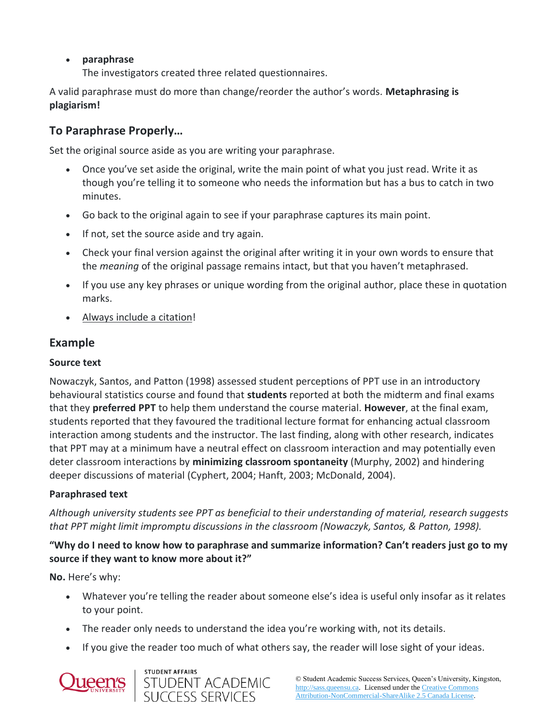#### • **paraphrase**

The investigators created three related questionnaires.

A valid paraphrase must do more than change/reorder the author's words. **Metaphrasing is plagiarism!**

#### **To Paraphrase Properly…**

Set the original source aside as you are writing your paraphrase.

- Once you've set aside the original, write the main point of what you just read. Write it as though you're telling it to someone who needs the information but has a bus to catch in two minutes.
- Go back to the original again to see if your paraphrase captures its main point.
- If not, set the source aside and try again.
- Check your final version against the original after writing it in your own words to ensure that the *meaning* of the original passage remains intact, but that you haven't metaphrased.
- If you use any key phrases or unique wording from the original author, place these in quotation marks.
- Always include a citation!

#### **Example**

#### **Source text**

Nowaczyk, Santos, and Patton (1998) assessed student perceptions of PPT use in an introductory behavioural statistics course and found that **students** reported at both the midterm and final exams that they **preferred PPT** to help them understand the course material. **However**, at the final exam, students reported that they favoured the traditional lecture format for enhancing actual classroom interaction among students and the instructor. The last finding, along with other research, indicates that PPT may at a minimum have a neutral effect on classroom interaction and may potentially even deter classroom interactions by **minimizing classroom spontaneity** (Murphy, 2002) and hindering deeper discussions of material (Cyphert, 2004; Hanft, 2003; McDonald, 2004).

#### **Paraphrased text**

*Although university students see PPT as beneficial to their understanding of material, research suggests that PPT might limit impromptu discussions in the classroom (Nowaczyk, Santos, & Patton, 1998).*

#### **"Why do I need to know how to paraphrase and summarize information? Can't readers just go to my source if they want to know more about it?"**

**No.** Here's why:

- Whatever you're telling the reader about someone else's idea is useful only insofar as it relates to your point.
- The reader only needs to understand the idea you're working with, not its details.
- If you give the reader too much of what others say, the reader will lose sight of your ideas.



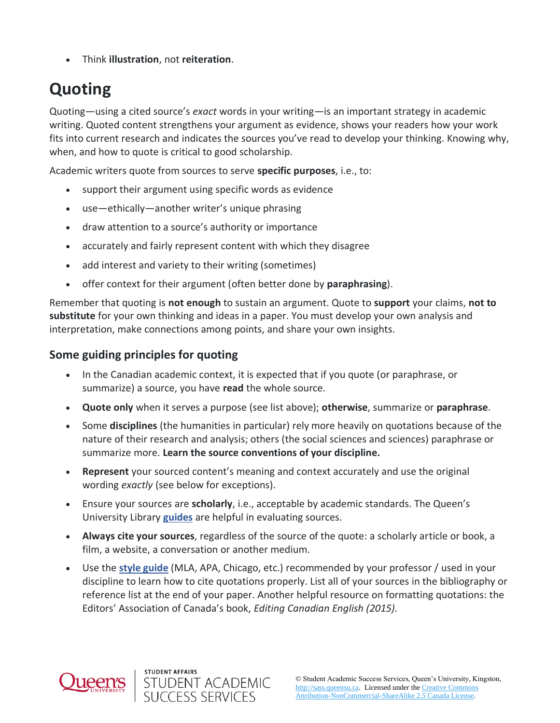• Think **illustration**, not **reiteration**.

# **Quoting**

Quoting—using a cited source's *exact* words in your writing—is an important strategy in academic writing. Quoted content strengthens your argument as evidence, shows your readers how your work fits into current research and indicates the sources you've read to develop your thinking. Knowing why, when, and how to quote is critical to good scholarship.

Academic writers quote from sources to serve **specific purposes**, i.e., to:

- support their argument using specific words as evidence
- use—ethically—another writer's unique phrasing
- draw attention to a source's authority or importance
- accurately and fairly represent content with which they disagree
- add interest and variety to their writing (sometimes)
- offer context for their argument (often better done by **paraphrasing**).

Remember that quoting is **not enough** to sustain an argument. Quote to **support** your claims, **not to substitute** for your own thinking and ideas in a paper. You must develop your own analysis and interpretation, make connections among points, and share your own insights.

#### **Some guiding principles for quoting**

- In the Canadian academic context, it is expected that if you quote (or paraphrase, or summarize) a source, you have **read** the whole source.
- **Quote only** when it serves a purpose (see list above); **otherwise**, summarize or **paraphrase**.
- Some **disciplines** (the humanities in particular) rely more heavily on quotations because of the nature of their research and analysis; others (the social sciences and sciences) paraphrase or summarize more. **Learn the source conventions of your discipline.**
- **Represent** your sourced content's meaning and context accurately and use the original wording *exactly* (see below for exceptions).
- Ensure your sources are **scholarly**, i.e., acceptable by academic standards. The Queen's University Library **[guides](https://guides.library.queensu.ca/introduction-research/evaluating-sources)** are helpful in evaluating sources.
- **Always cite your sources**, regardless of the source of the quote: a scholarly article or book, a film, a website, a conversation or another medium.
- Use the **[style guide](https://www.library.queensu.ca/help-services/citing-sources)** (MLA, APA, Chicago, etc.) recommended by your professor / used in your discipline to learn how to cite quotations properly. List all of your sources in the bibliography or reference list at the end of your paper. Another helpful resource on formatting quotations: the Editors' Association of Canada's book, *Editing Canadian English (2015).*



STUDENT AFFAIRS

STUDENT ACADEMIC<br>SUCCESS SERVICES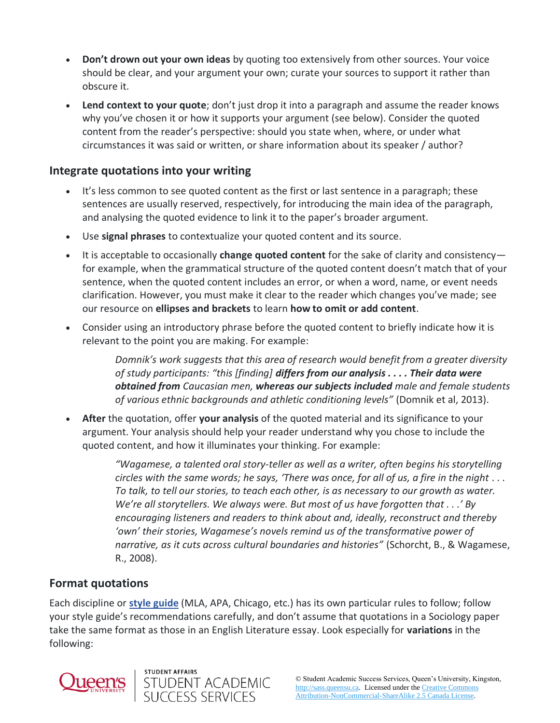- **Don't drown out your own ideas** by quoting too extensively from other sources. Your voice should be clear, and your argument your own; curate your sources to support it rather than obscure it.
- **Lend context to your quote**; don't just drop it into a paragraph and assume the reader knows why you've chosen it or how it supports your argument (see below). Consider the quoted content from the reader's perspective: should you state when, where, or under what circumstances it was said or written, or share information about its speaker / author?

#### **Integrate quotations into your writing**

- It's less common to see quoted content as the first or last sentence in a paragraph; these sentences are usually reserved, respectively, for introducing the main idea of the paragraph, and analysing the quoted evidence to link it to the paper's broader argument.
- Use **signal phrases** to contextualize your quoted content and its source.
- It is acceptable to occasionally **change quoted content** for the sake of clarity and consistency for example, when the grammatical structure of the quoted content doesn't match that of your sentence, when the quoted content includes an error, or when a word, name, or event needs clarification. However, you must make it clear to the reader which changes you've made; see our resource on **ellipses and brackets** to learn **how to omit or add content**.
- Consider using an introductory phrase before the quoted content to briefly indicate how it is relevant to the point you are making. For example:

*Domnik's work suggests that this area of research would benefit from a greater diversity of study participants: "this [finding] differs from our analysis . . . . Their data were obtained from Caucasian men, whereas our subjects included male and female students of various ethnic backgrounds and athletic conditioning levels"* (Domnik et al, 2013).

• **After** the quotation, offer **your analysis** of the quoted material and its significance to your argument. Your analysis should help your reader understand why you chose to include the quoted content, and how it illuminates your thinking. For example:

> *"Wagamese, a talented oral story-teller as well as a writer, often begins his storytelling circles with the same words; he says, 'There was once, for all of us, a fire in the night . . . To talk, to tell our stories, to teach each other, is as necessary to our growth as water. We're all storytellers. We always were. But most of us have forgotten that . . .' By encouraging listeners and readers to think about and, ideally, reconstruct and thereby 'own' their stories, Wagamese's novels remind us of the transformative power of narrative, as it cuts across cultural boundaries and histories"* (Schorcht, B., & Wagamese, R., 2008).

#### **Format quotations**

Each discipline or **[style guide](https://www.library.queensu.ca/help-services/citing-sources)** (MLA, APA, Chicago, etc.) has its own particular rules to follow; follow your style guide's recommendations carefully, and don't assume that quotations in a Sociology paper take the same format as those in an English Literature essay. Look especially for **variations** in the following:



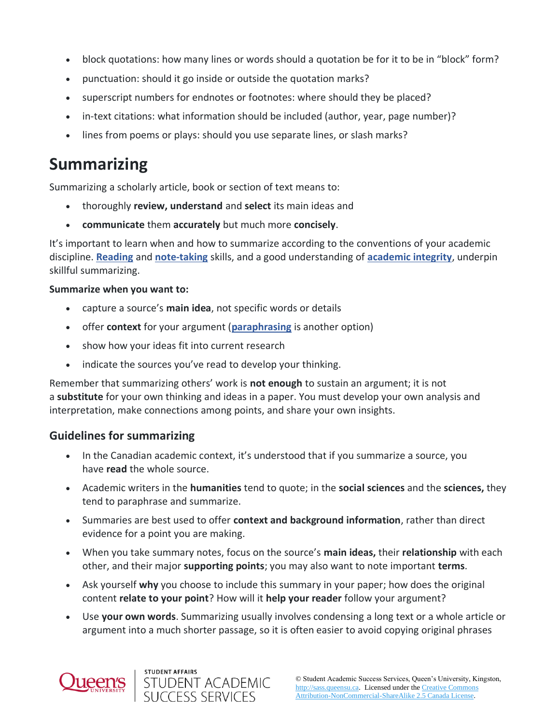- block quotations: how many lines or words should a quotation be for it to be in "block" form?
- punctuation: should it go inside or outside the quotation marks?
- superscript numbers for endnotes or footnotes: where should they be placed?
- in-text citations: what information should be included (author, year, page number)?
- lines from poems or plays: should you use separate lines, or slash marks?

### **Summarizing**

Summarizing a scholarly article, book or section of text means to:

- thoroughly **review, understand** and **select** its main ideas and
- **communicate** them **accurately** but much more **concisely**.

It's important to learn when and how to summarize according to the conventions of your academic discipline. **[Reading](https://wp3-dev.its.queensu.ca/ha/sasswww/resources/reading)** and **[note-taking](https://wp3-dev.its.queensu.ca/ha/sasswww/resources/note-taking)** skills, and a good understanding of **[academic integrity](https://wp3-dev.its.queensu.ca/ha/sasswww/resources/academic-integrity)**, underpin skillful summarizing.

#### **Summarize when you want to:**

- capture a source's **main idea**, not specific words or details
- offer **context** for your argument (**[paraphrasing](https://sass.queensu.ca/onlineresource/topics/integrating-sources/)** is another option)
- show how your ideas fit into current research
- indicate the sources you've read to develop your thinking.

Remember that summarizing others' work is **not enough** to sustain an argument; it is not a **substitute** for your own thinking and ideas in a paper. You must develop your own analysis and interpretation, make connections among points, and share your own insights.

#### **Guidelines for summarizing**

- In the Canadian academic context, it's understood that if you summarize a source, you have **read** the whole source.
- Academic writers in the **humanities** tend to quote; in the **social sciences** and the **sciences,** they tend to paraphrase and summarize.
- Summaries are best used to offer **context and background information**, rather than direct evidence for a point you are making.
- When you take summary notes, focus on the source's **main ideas,** their **relationship** with each other, and their major **supporting points**; you may also want to note important **terms**.
- Ask yourself **why** you choose to include this summary in your paper; how does the original content **relate to your point**? How will it **help your reader** follow your argument?
- Use **your own words**. Summarizing usually involves condensing a long text or a whole article or argument into a much shorter passage, so it is often easier to avoid copying original phrases

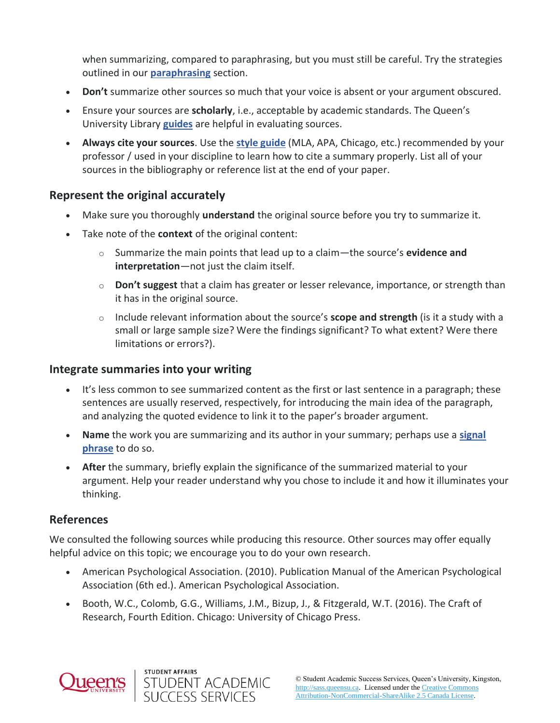when summarizing, compared to paraphrasing, but you must still be careful. Try the strategies outlined in our **[paraphrasing](https://sass.queensu.ca/onlineresource/topics/integrating-sources/)** section.

- **Don't** summarize other sources so much that your voice is absent or your argument obscured.
- Ensure your sources are **scholarly**, i.e., acceptable by academic standards. The Queen's University Library **[guides](https://guides.library.queensu.ca/introduction-research/evaluating-sources)** are helpful in evaluating sources.
- **Always cite your sources**. Use the **[style guide](https://www.library.queensu.ca/help-services/citing-sources)** (MLA, APA, Chicago, etc.) recommended by your professor / used in your discipline to learn how to cite a summary properly. List all of your sources in the bibliography or reference list at the end of your paper.

#### **Represent the original accurately**

- Make sure you thoroughly **understand** the original source before you try to summarize it.
- Take note of the **context** of the original content:
	- o Summarize the main points that lead up to a claim—the source's **evidence and interpretation**—not just the claim itself.
	- o **Don't suggest** that a claim has greater or lesser relevance, importance, or strength than it has in the original source.
	- o Include relevant information about the source's **scope and strength** (is it a study with a small or large sample size? Were the findings significant? To what extent? Were there limitations or errors?).

#### **Integrate summaries into your writing**

- It's less common to see summarized content as the first or last sentence in a paragraph; these sentences are usually reserved, respectively, for introducing the main idea of the paragraph, and analyzing the quoted evidence to link it to the paper's broader argument.
- **Name** the work you are summarizing and its author in your summary; perhaps use a **[signal](https://sass.queensu.ca/onlineresource/topics/integrating-sources/)  [phrase](https://sass.queensu.ca/onlineresource/topics/integrating-sources/)** to do so.
- **After** the summary, briefly explain the significance of the summarized material to your argument. Help your reader understand why you chose to include it and how it illuminates your thinking.

#### **References**

We consulted the following sources while producing this resource. Other sources may offer equally helpful advice on this topic; we encourage you to do your own research.

- American Psychological Association. (2010). Publication Manual of the American Psychological Association (6th ed.). American Psychological Association.
- Booth, W.C., Colomb, G.G., Williams, J.M., Bizup, J., & Fitzgerald, W.T. (2016). The Craft of Research, Fourth Edition. Chicago: University of Chicago Press.